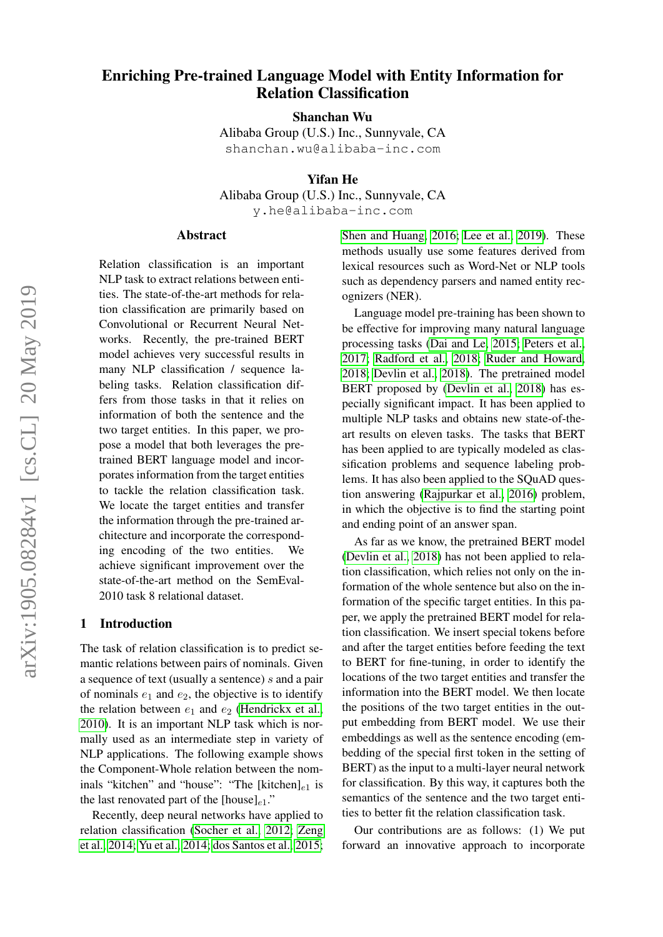# Enriching Pre-trained Language Model with Entity Information for Relation Classification

Shanchan Wu

Alibaba Group (U.S.) Inc., Sunnyvale, CA shanchan.wu@alibaba-inc.com

Yifan He

Alibaba Group (U.S.) Inc., Sunnyvale, CA

y.he@alibaba-inc.com

### Abstract

Relation classification is an important NLP task to extract relations between entities. The state-of-the-art methods for relation classification are primarily based on Convolutional or Recurrent Neural Networks. Recently, the pre-trained BERT model achieves very successful results in many NLP classification / sequence labeling tasks. Relation classification differs from those tasks in that it relies on information of both the sentence and the two target entities. In this paper, we propose a model that both leverages the pretrained BERT language model and incorporates information from the target entities to tackle the relation classification task. We locate the target entities and transfer the information through the pre-trained architecture and incorporate the corresponding encoding of the two entities. We achieve significant improvement over the state-of-the-art method on the SemEval-2010 task 8 relational dataset.

#### 1 Introduction

The task of relation classification is to predict semantic relations between pairs of nominals. Given a sequence of text (usually a sentence) s and a pair of nominals  $e_1$  and  $e_2$ , the objective is to identify the relation between  $e_1$  and  $e_2$  [\(Hendrickx et al.,](#page-4-0) [2010\)](#page-4-0). It is an important NLP task which is normally used as an intermediate step in variety of NLP applications. The following example shows the Component-Whole relation between the nominals "kitchen" and "house": "The [kitchen] $_{e1}$  is the last renovated part of the [house] $_{e1}$ ."

Recently, deep neural networks have applied to relation classification [\(Socher et al., 2012;](#page-5-0) [Zeng](#page-5-1) [et al., 2014;](#page-5-1) [Yu et al., 2014;](#page-5-2) [dos Santos et al., 2015;](#page-4-1) [Shen and Huang, 2016;](#page-5-3) [Lee et al., 2019\)](#page-4-2). These methods usually use some features derived from lexical resources such as Word-Net or NLP tools such as dependency parsers and named entity recognizers (NER).

Language model pre-training has been shown to be effective for improving many natural language processing tasks [\(Dai and Le, 2015;](#page-4-3) [Peters et al.,](#page-4-4) [2017;](#page-4-4) [Radford et al., 2018;](#page-4-5) [Ruder and Howard,](#page-5-4) [2018;](#page-5-4) [Devlin et al., 2018\)](#page-4-6). The pretrained model BERT proposed by [\(Devlin et al., 2018\)](#page-4-6) has especially significant impact. It has been applied to multiple NLP tasks and obtains new state-of-theart results on eleven tasks. The tasks that BERT has been applied to are typically modeled as classification problems and sequence labeling problems. It has also been applied to the SQuAD question answering [\(Rajpurkar et al., 2016\)](#page-5-5) problem, in which the objective is to find the starting point and ending point of an answer span.

As far as we know, the pretrained BERT model [\(Devlin et al., 2018\)](#page-4-6) has not been applied to relation classification, which relies not only on the information of the whole sentence but also on the information of the specific target entities. In this paper, we apply the pretrained BERT model for relation classification. We insert special tokens before and after the target entities before feeding the text to BERT for fine-tuning, in order to identify the locations of the two target entities and transfer the information into the BERT model. We then locate the positions of the two target entities in the output embedding from BERT model. We use their embeddings as well as the sentence encoding (embedding of the special first token in the setting of BERT) as the input to a multi-layer neural network for classification. By this way, it captures both the semantics of the sentence and the two target entities to better fit the relation classification task.

Our contributions are as follows: (1) We put forward an innovative approach to incorporate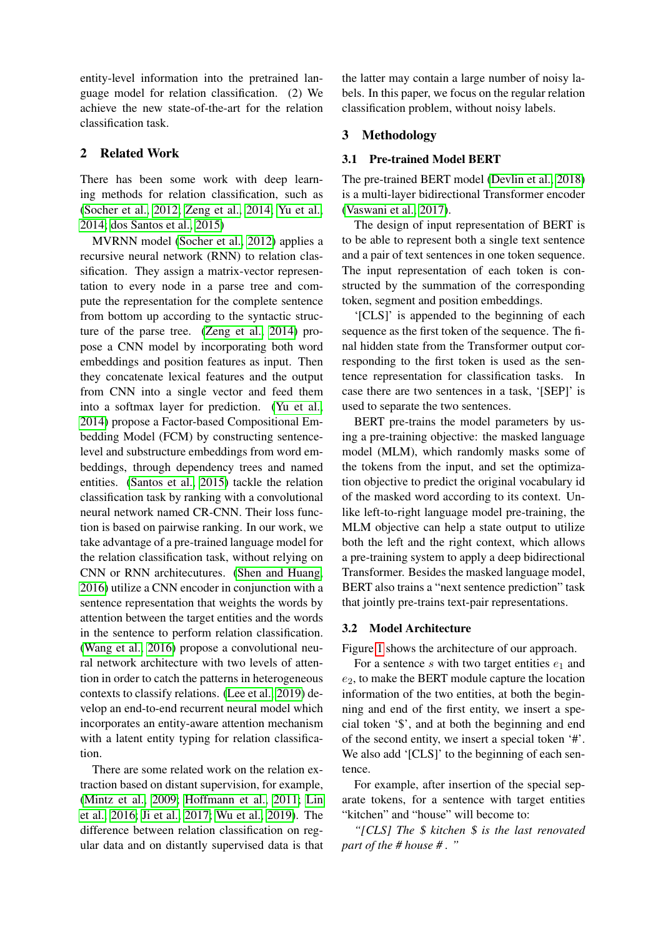entity-level information into the pretrained language model for relation classification. (2) We achieve the new state-of-the-art for the relation classification task.

# <span id="page-1-0"></span>2 Related Work

There has been some work with deep learning methods for relation classification, such as [\(Socher et al., 2012;](#page-5-0) [Zeng et al., 2014;](#page-5-1) [Yu et al.,](#page-5-2) [2014;](#page-5-2) [dos Santos et al., 2015\)](#page-4-1)

MVRNN model [\(Socher et al., 2012\)](#page-5-0) applies a recursive neural network (RNN) to relation classification. They assign a matrix-vector representation to every node in a parse tree and compute the representation for the complete sentence from bottom up according to the syntactic structure of the parse tree. [\(Zeng et al., 2014\)](#page-5-1) propose a CNN model by incorporating both word embeddings and position features as input. Then they concatenate lexical features and the output from CNN into a single vector and feed them into a softmax layer for prediction. [\(Yu et al.,](#page-5-2) [2014\)](#page-5-2) propose a Factor-based Compositional Embedding Model (FCM) by constructing sentencelevel and substructure embeddings from word embeddings, through dependency trees and named entities. [\(Santos et al., 2015\)](#page-5-6) tackle the relation classification task by ranking with a convolutional neural network named CR-CNN. Their loss function is based on pairwise ranking. In our work, we take advantage of a pre-trained language model for the relation classification task, without relying on CNN or RNN architecutures. [\(Shen and Huang,](#page-5-3) [2016\)](#page-5-3) utilize a CNN encoder in conjunction with a sentence representation that weights the words by attention between the target entities and the words in the sentence to perform relation classification. [\(Wang et al., 2016\)](#page-5-7) propose a convolutional neural network architecture with two levels of attention in order to catch the patterns in heterogeneous contexts to classify relations. [\(Lee et al., 2019\)](#page-4-2) develop an end-to-end recurrent neural model which incorporates an entity-aware attention mechanism with a latent entity typing for relation classification.

There are some related work on the relation extraction based on distant supervision, for example, [\(Mintz et al., 2009;](#page-4-7) [Hoffmann et al., 2011;](#page-4-8) [Lin](#page-4-9) [et al., 2016;](#page-4-9) [Ji et al., 2017;](#page-4-10) [Wu et al., 2019\)](#page-5-8). The difference between relation classification on regular data and on distantly supervised data is that the latter may contain a large number of noisy labels. In this paper, we focus on the regular relation classification problem, without noisy labels.

# 3 Methodology

# 3.1 Pre-trained Model BERT

The pre-trained BERT model [\(Devlin et al., 2018\)](#page-4-6) is a multi-layer bidirectional Transformer encoder [\(Vaswani et al., 2017\)](#page-5-9).

The design of input representation of BERT is to be able to represent both a single text sentence and a pair of text sentences in one token sequence. The input representation of each token is constructed by the summation of the corresponding token, segment and position embeddings.

'[CLS]' is appended to the beginning of each sequence as the first token of the sequence. The final hidden state from the Transformer output corresponding to the first token is used as the sentence representation for classification tasks. In case there are two sentences in a task, '[SEP]' is used to separate the two sentences.

BERT pre-trains the model parameters by using a pre-training objective: the masked language model (MLM), which randomly masks some of the tokens from the input, and set the optimization objective to predict the original vocabulary id of the masked word according to its context. Unlike left-to-right language model pre-training, the MLM objective can help a state output to utilize both the left and the right context, which allows a pre-training system to apply a deep bidirectional Transformer. Besides the masked language model, BERT also trains a "next sentence prediction" task that jointly pre-trains text-pair representations.

# 3.2 Model Architecture

Figure [1](#page-2-0) shows the architecture of our approach.

For a sentence s with two target entities  $e_1$  and  $e_2$ , to make the BERT module capture the location information of the two entities, at both the beginning and end of the first entity, we insert a special token '\$', and at both the beginning and end of the second entity, we insert a special token '#'. We also add '[CLS]' to the beginning of each sentence.

For example, after insertion of the special separate tokens, for a sentence with target entities "kitchen" and "house" will become to:

*"[CLS] The* \$ *kitchen* \$ *is the last renovated part of the # house # . "*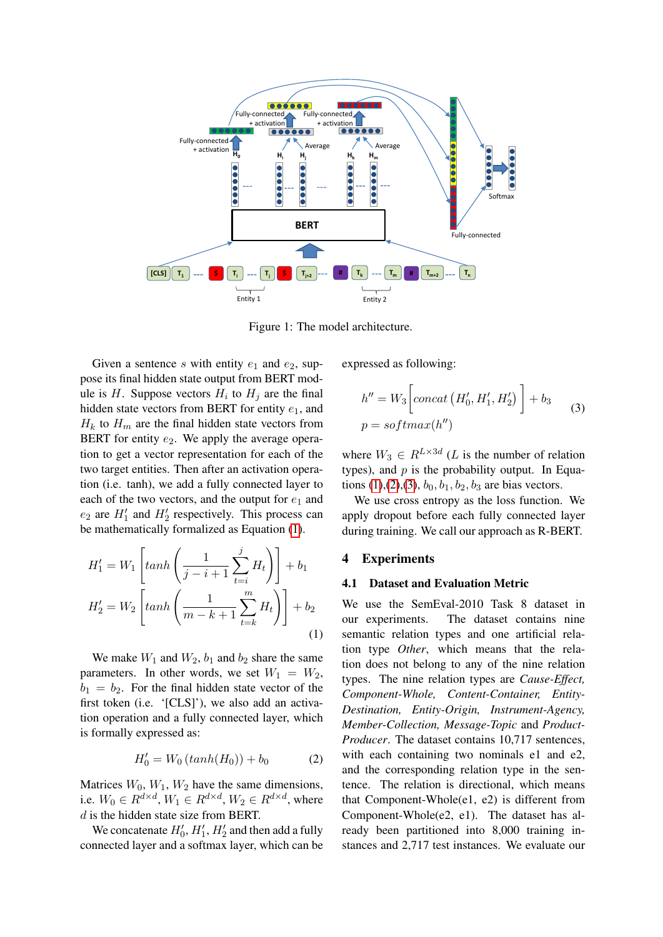

Figure 1: The model architecture.

Given a sentence s with entity  $e_1$  and  $e_2$ , suppose its final hidden state output from BERT module is H. Suppose vectors  $H_i$  to  $H_j$  are the final hidden state vectors from BERT for entity  $e_1$ , and  $H_k$  to  $H_m$  are the final hidden state vectors from BERT for entity  $e_2$ . We apply the average operation to get a vector representation for each of the two target entities. Then after an activation operation (i.e. tanh), we add a fully connected layer to each of the two vectors, and the output for  $e_1$  and  $e_2$  are  $H'_1$  and  $H'_2$  respectively. This process can be mathematically formalized as Equation [\(1\)](#page-2-1).

<span id="page-2-1"></span>
$$
H'_{1} = W_{1} \left[ \tanh\left(\frac{1}{j-i+1} \sum_{t=i}^{j} H_{t}\right) \right] + b_{1}
$$

$$
H'_{2} = W_{2} \left[ \tanh\left(\frac{1}{m-k+1} \sum_{t=k}^{m} H_{t}\right) \right] + b_{2}
$$
(1)

We make  $W_1$  and  $W_2$ ,  $b_1$  and  $b_2$  share the same parameters. In other words, we set  $W_1 = W_2$ ,  $b_1 = b_2$ . For the final hidden state vector of the first token (i.e. '[CLS]'), we also add an activation operation and a fully connected layer, which is formally expressed as:

$$
H_0' = W_0 \left( \tanh(H_0) \right) + b_0 \tag{2}
$$

<span id="page-2-2"></span>Matrices  $W_0$ ,  $W_1$ ,  $W_2$  have the same dimensions, i.e.  $W_0 \in R^{d \times d}$ ,  $W_1 \in R^{d \times d}$ ,  $W_2 \in R^{d \times d}$ , where d is the hidden state size from BERT.

We concatenate  $H'_0$ ,  $H'_1$ ,  $H'_2$  and then add a fully connected layer and a softmax layer, which can be expressed as following:

<span id="page-2-3"></span><span id="page-2-0"></span>
$$
h'' = W_3 \left[ concat\left(H'_0, H'_1, H'_2\right) \right] + b_3
$$
  

$$
p = softmax(h'')
$$
 (3)

where  $W_3 \in R^{L \times 3d}$  (*L* is the number of relation types), and  $p$  is the probability output. In Equa-tions [\(1\)](#page-2-1),[\(2\)](#page-2-2),[\(3\)](#page-2-3),  $b_0$ ,  $b_1$ ,  $b_2$ ,  $b_3$  are bias vectors.

We use cross entropy as the loss function. We apply dropout before each fully connected layer during training. We call our approach as R-BERT.

# 4 Experiments

#### 4.1 Dataset and Evaluation Metric

We use the SemEval-2010 Task 8 dataset in our experiments. The dataset contains nine semantic relation types and one artificial relation type *Other*, which means that the relation does not belong to any of the nine relation types. The nine relation types are *Cause-Effect, Component-Whole, Content-Container, Entity-Destination, Entity-Origin, Instrument-Agency, Member-Collection, Message-Topic* and *Product-Producer*. The dataset contains 10,717 sentences, with each containing two nominals e1 and e2, and the corresponding relation type in the sentence. The relation is directional, which means that Component-Whole(e1, e2) is different from Component-Whole(e2, e1). The dataset has already been partitioned into 8,000 training instances and 2,717 test instances. We evaluate our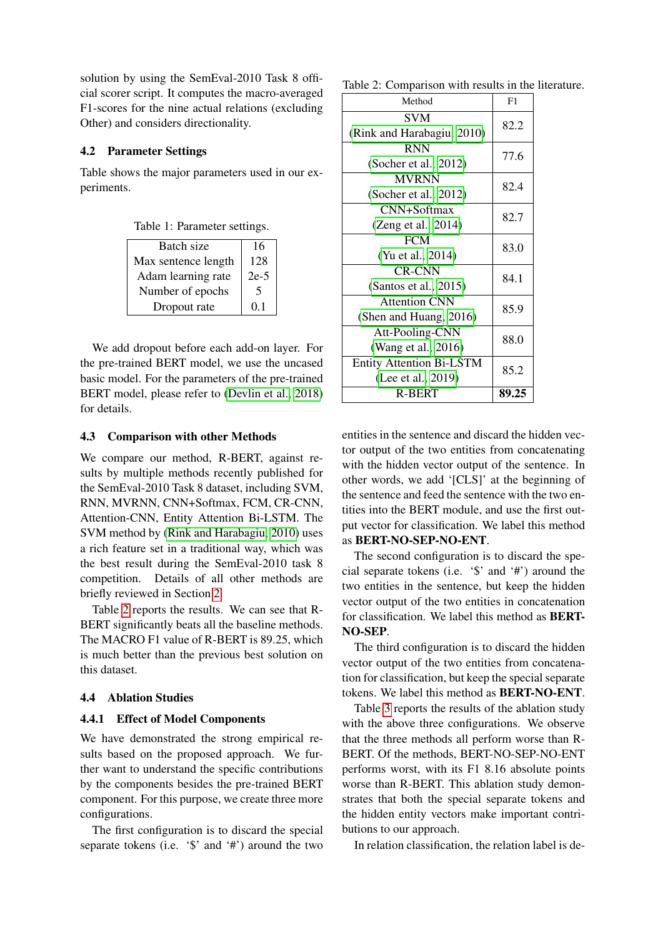solution by using the SemEval-2010 Task 8 official scorer script. It computes the macro-averaged F1-scores for the nine actual relations (excluding Other) and considers directionality.

# 4.2 Parameter Settings

Table shows the major parameters used in our experiments.

|  | Table 1: Parameter settings. |  |
|--|------------------------------|--|
|--|------------------------------|--|

| Batch size          | 16      |
|---------------------|---------|
| Max sentence length | 128     |
| Adam learning rate  | $2e-5$  |
| Number of epochs    | 5       |
| Dropout rate        | $(1)$ . |

We add dropout before each add-on layer. For the pre-trained BERT model, we use the uncased basic model. For the parameters of the pre-trained BERT model, please refer to [\(Devlin et al., 2018\)](#page-4-6) for details.

# 4.3 Comparison with other Methods

We compare our method, R-BERT, against results by multiple methods recently published for the SemEval-2010 Task 8 dataset, including SVM, RNN, MVRNN, CNN+Softmax, FCM, CR-CNN, Attention-CNN, Entity Attention Bi-LSTM. The SVM method by [\(Rink and Harabagiu, 2010\)](#page-5-10) uses a rich feature set in a traditional way, which was the best result during the SemEval-2010 task 8 competition. Details of all other methods are briefly reviewed in Section [2.](#page-1-0)

Table [2](#page-3-0) reports the results. We can see that R-BERT significantly beats all the baseline methods. The MACRO F1 value of R-BERT is 89.25, which is much better than the previous best solution on this dataset.

# 4.4 Ablation Studies

# 4.4.1 Effect of Model Components

We have demonstrated the strong empirical results based on the proposed approach. We further want to understand the specific contributions by the components besides the pre-trained BERT component. For this purpose, we create three more configurations.

The first configuration is to discard the special separate tokens (i.e. '\$' and '#') around the two

<span id="page-3-0"></span>

| Method                          | F1    |  |
|---------------------------------|-------|--|
| <b>SVM</b>                      | 82.2  |  |
| (Rink and Harabagiu, 2010)      | 77.6  |  |
| <b>RNN</b>                      |       |  |
| (Socher et al., $2012$ )        | 82.4  |  |
| <b>MVRNN</b>                    |       |  |
| (Socher et al., $2012$ )        |       |  |
| CNN+Softmax                     | 82.7  |  |
| (Zeng et al., 2014)             |       |  |
| <b>FCM</b>                      | 83.0  |  |
| (Yu et al., 2014)               |       |  |
| <b>CR-CNN</b>                   | 84.1  |  |
| (Santos et al., $2015$ )        |       |  |
| <b>Attention CNN</b>            | 85.9  |  |
| (Shen and Huang, 2016)          |       |  |
| Att-Pooling-CNN                 | 88.0  |  |
| (Wang et al., 2016)             |       |  |
| <b>Entity Attention Bi-LSTM</b> | 85.2  |  |
| (Lee et al., 2019)              |       |  |
| <b>R-BERT</b>                   | 89.25 |  |
|                                 |       |  |

entities in the sentence and discard the hidden vector output of the two entities from concatenating with the hidden vector output of the sentence. In other words, we add '[CLS]' at the beginning of the sentence and feed the sentence with the two entities into the BERT module, and use the first output vector for classification. We label this method as BERT-NO-SEP-NO-ENT.

The second configuration is to discard the special separate tokens (i.e. '\$' and '#') around the two entities in the sentence, but keep the hidden vector output of the two entities in concatenation for classification. We label this method as BERT-NO-SEP.

The third configuration is to discard the hidden vector output of the two entities from concatenation for classification, but keep the special separate tokens. We label this method as BERT-NO-ENT.

Table [3](#page-4-11) reports the results of the ablation study with the above three configurations. We observe that the three methods all perform worse than R-BERT. Of the methods, BERT-NO-SEP-NO-ENT performs worst, with its F1 8.16 absolute points worse than R-BERT. This ablation study demonstrates that both the special separate tokens and the hidden entity vectors make important contributions to our approach.

In relation classification, the relation label is de-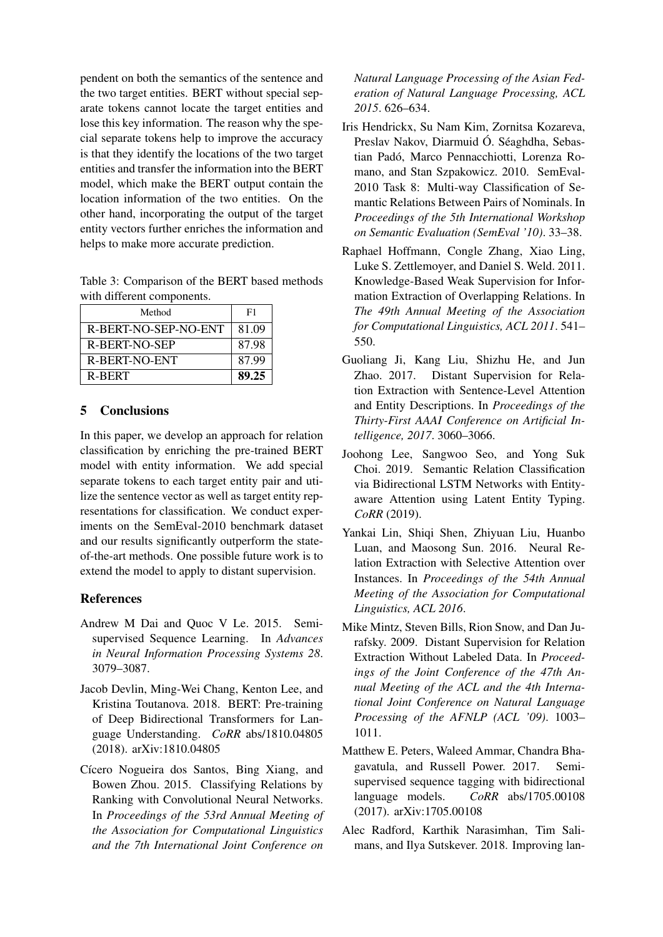pendent on both the semantics of the sentence and the two target entities. BERT without special separate tokens cannot locate the target entities and lose this key information. The reason why the special separate tokens help to improve the accuracy is that they identify the locations of the two target entities and transfer the information into the BERT model, which make the BERT output contain the location information of the two entities. On the other hand, incorporating the output of the target entity vectors further enriches the information and helps to make more accurate prediction.

<span id="page-4-11"></span>Table 3: Comparison of the BERT based methods with different components.

| Method               | F1    |
|----------------------|-------|
| R-BERT-NO-SEP-NO-ENT | 81.09 |
| R-BERT-NO-SEP        | 87.98 |
| R-BERT-NO-ENT        | 87.99 |
| R-BERT               | 89.25 |

# 5 Conclusions

In this paper, we develop an approach for relation classification by enriching the pre-trained BERT model with entity information. We add special separate tokens to each target entity pair and utilize the sentence vector as well as target entity representations for classification. We conduct experiments on the SemEval-2010 benchmark dataset and our results significantly outperform the stateof-the-art methods. One possible future work is to extend the model to apply to distant supervision.

# References

- <span id="page-4-3"></span>Andrew M Dai and Quoc V Le. 2015. Semisupervised Sequence Learning. In *Advances in Neural Information Processing Systems 28*. 3079–3087.
- <span id="page-4-6"></span>Jacob Devlin, Ming-Wei Chang, Kenton Lee, and Kristina Toutanova. 2018. BERT: Pre-training of Deep Bidirectional Transformers for Language Understanding. *CoRR* abs/1810.04805 (2018). arXiv:1810.04805
- <span id="page-4-1"></span>Cícero Nogueira dos Santos, Bing Xiang, and Bowen Zhou. 2015. Classifying Relations by Ranking with Convolutional Neural Networks. In *Proceedings of the 53rd Annual Meeting of the Association for Computational Linguistics and the 7th International Joint Conference on*

*Natural Language Processing of the Asian Federation of Natural Language Processing, ACL 2015*. 626–634.

- <span id="page-4-0"></span>Iris Hendrickx, Su Nam Kim, Zornitsa Kozareva, Preslav Nakov, Diarmuid Ó. Séaghdha, Sebastian Padó, Marco Pennacchiotti, Lorenza Romano, and Stan Szpakowicz. 2010. SemEval-2010 Task 8: Multi-way Classification of Semantic Relations Between Pairs of Nominals. In *Proceedings of the 5th International Workshop on Semantic Evaluation (SemEval '10)*. 33–38.
- <span id="page-4-8"></span>Raphael Hoffmann, Congle Zhang, Xiao Ling, Luke S. Zettlemoyer, and Daniel S. Weld. 2011. Knowledge-Based Weak Supervision for Information Extraction of Overlapping Relations. In *The 49th Annual Meeting of the Association for Computational Linguistics, ACL 2011*. 541– 550.
- <span id="page-4-10"></span>Guoliang Ji, Kang Liu, Shizhu He, and Jun Zhao. 2017. Distant Supervision for Relation Extraction with Sentence-Level Attention and Entity Descriptions. In *Proceedings of the Thirty-First AAAI Conference on Artificial Intelligence, 2017*. 3060–3066.
- <span id="page-4-2"></span>Joohong Lee, Sangwoo Seo, and Yong Suk Choi. 2019. Semantic Relation Classification via Bidirectional LSTM Networks with Entityaware Attention using Latent Entity Typing. *CoRR* (2019).
- <span id="page-4-9"></span>Yankai Lin, Shiqi Shen, Zhiyuan Liu, Huanbo Luan, and Maosong Sun. 2016. Neural Relation Extraction with Selective Attention over Instances. In *Proceedings of the 54th Annual Meeting of the Association for Computational Linguistics, ACL 2016*.
- <span id="page-4-7"></span>Mike Mintz, Steven Bills, Rion Snow, and Dan Jurafsky. 2009. Distant Supervision for Relation Extraction Without Labeled Data. In *Proceedings of the Joint Conference of the 47th Annual Meeting of the ACL and the 4th International Joint Conference on Natural Language Processing of the AFNLP (ACL '09)*. 1003– 1011.
- <span id="page-4-4"></span>Matthew E. Peters, Waleed Ammar, Chandra Bhagavatula, and Russell Power. 2017. Semisupervised sequence tagging with bidirectional language models. *CoRR* abs/1705.00108 (2017). arXiv:1705.00108
- <span id="page-4-5"></span>Alec Radford, Karthik Narasimhan, Tim Salimans, and Ilya Sutskever. 2018. Improving lan-